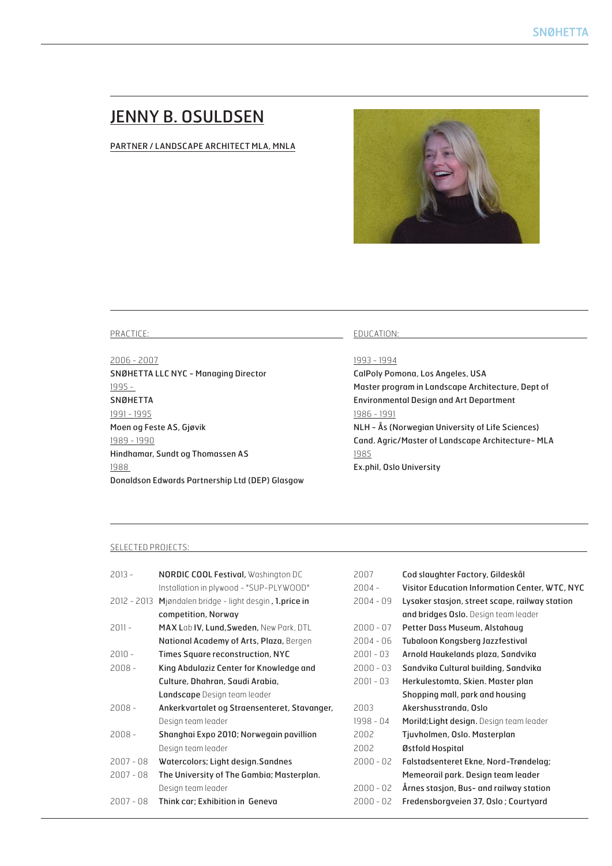# JENNY B. OSULDSEN

## PARTNER / LANDSCAPE ARCHITECT MLA, MNLA



#### PRACTICE:

2006 - 2007 SNØHETTA LLC NYC - Managing Director 1995 - SNØHETTA 1991 - 1995 Moen og Feste AS, Gjøvik 1989 - 1990 Hindhamar, Sundt og Thomassen AS 1988 Donaldson Edwards Partnership Ltd (DEP) Glasgow

#### EDUCATION:

## 1993 - 1994

CalPoly Pomona, Los Angeles, USA Master program in Landscape Architecture, Dept of Environmental Design and Art Department 1986 - 1991 NLH - Ås (Norwegian University of Life Sciences) Cand. Agric/Master of Landscape Architecture- MLA 1985 Ex.phil, Oslo University

## SELECTED PROJECTS:

| 2013 -      | <b>NORDIC COOL Festival, Washington DC</b>   | 2007        | Cod slaughter Factory, Gildeskål               |
|-------------|----------------------------------------------|-------------|------------------------------------------------|
|             | Installation in plywood - "SUP-PLYWOOD"      | $2004 -$    | Visitor Education Information Center, WTC, NYC |
| 2012 - 2013 | Mjøndalen bridge - light desgin, 1.price in  | $2004 - 09$ | Lysaker stasjon, street scape, railway station |
|             | competition, Norway                          |             | and bridges Oslo. Design team leader           |
| 2011 -      | MAX Lab IV, Lund, Sweden, New Park, DTL      | $2000 - 07$ | Petter Dass Museum, Alstahaug                  |
|             | National Academy of Arts, Plaza, Bergen      | $2004 - 06$ | Tubaloon Kongsberg Jazzfestival                |
| 2010 -      | Times Square reconstruction, NYC             | $2001 - 03$ | Arnold Haukelands plaza, Sandvika              |
| 2008 -      | King Abdulaziz Center for Knowledge and      | $2000 - 03$ | Sandvika Cultural building, Sandvika           |
|             | Culture, Dhahran, Saudi Arabia,              | $2001 - 03$ | Herkulestomta, Skien. Master plan              |
|             | Landscape Design team leader                 |             | Shopping mall, park and housing                |
| 2008 -      | Ankerkvartalet og Straensenteret, Stavanger, | 2003        | Akershusstranda, Oslo                          |
|             | Design team leader                           | 1998 - 04   | Morild; Light design. Design team leader       |
| 2008 -      | Shanghai Expo 2010; Norwegain pavillion      | 2002        | Tjuvholmen, Oslo. Masterplan                   |
|             | Design team leader                           | 2002        | Østfold Hospital                               |
| 2007 - 08   | Watercolors; Light design. Sandnes           | $2000 - 02$ | Falstadsenteret Ekne, Nord-Trøndelag;          |
| 2007 - 08   | The University of The Gambia; Masterplan.    |             | Memeorail park. Design team leader             |
|             | Design team leader                           | $2000 - 02$ | Årnes stasjon, Bus- and railway station        |
| 2007 - 08   | Think car; Exhibition in Geneva              | $2000 - 02$ | Fredensborgveien 37, Oslo; Courtyard           |
|             |                                              |             |                                                |